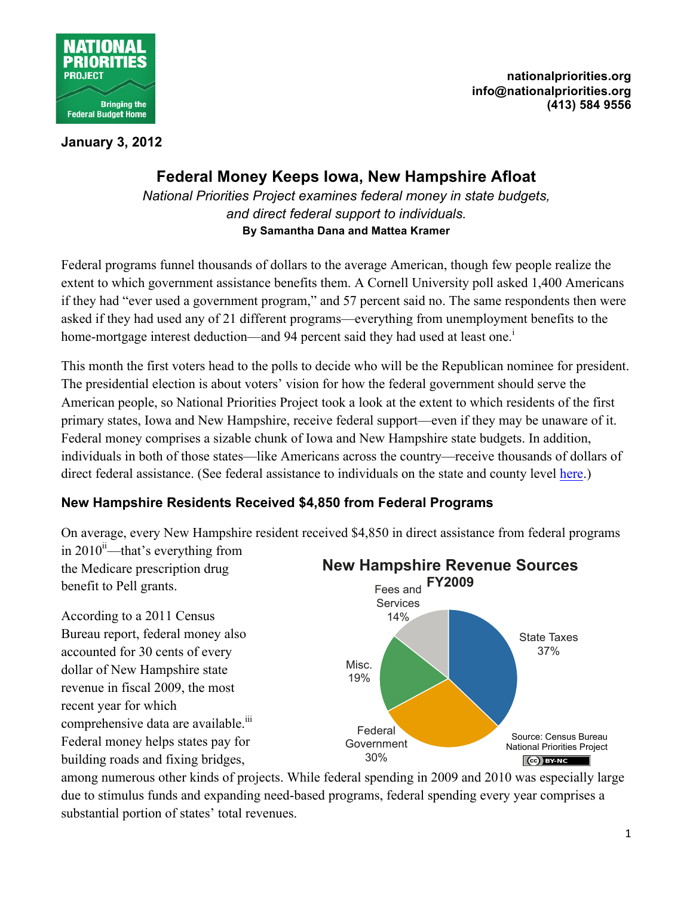

**nationalpriorities.org info@nationalpriorities.org (413) 584 9556**

**January 3, 2012**

## **Federal Money Keeps Iowa, New Hampshire Afloat**

*National Priorities Project examines federal money in state budgets, and direct federal support to individuals.* **By Samantha Dana and Mattea Kramer**

Federal programs funnel thousands of dollars to the average American, though few people realize the extent to which government assistance benefits them. A Cornell University poll asked 1,400 Americans if they had "ever used a government program," and 57 percent said no. The same respondents then were asked if they had used any of 21 different programs—everything from unemployment benefits to the home-mortgage interest deduction—and 94 percent said they had used at least one.<sup>1</sup>

This month the first voters head to the polls to decide who will be the Republican nominee for president. The presidential election is about voters' vision for how the federal government should serve the American people, so National Priorities Project took a look at the extent to which residents of the first primary states, Iowa and New Hampshire, receive federal support—even if they may be unaware of it. Federal money comprises a sizable chunk of Iowa and New Hampshire state budgets. In addition, individuals in both of those states—like Americans across the country—receive thousands of dollars of direct federal assistance. (See federal assistance to individuals on the state and county level [here](http://data.nationalpriorities.org/mashups/ufz9e7raolmod39z/).)

## **New Hampshire Residents Received \$4,850 from Federal Programs**

On average, every New Hampshire resident received \$4,850 in direct assistance from federal programs in 2010 $^{\text{ii}}$ —that's everything from

the Medicare prescription drug benefit to Pell grants.

According to a 2011 Census Bureau report, federal money also accounted for 30 cents of every dollar of New Hampshire state revenue in fiscal 2009, the most recent year for which comprehensive data are available.<sup>iii</sup> Federal money helps states pay for building roads and fixing bridges,



among numerous other kinds of projects. While federal spending in 2009 and 2010 was especially large due to stimulus funds and expanding need-based programs, federal spending every year comprises a substantial portion of states' total revenues.